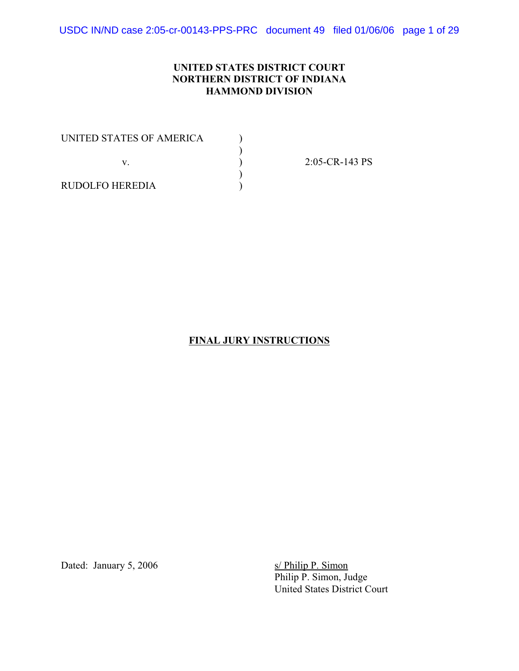USDC IN/ND case 2:05-cr-00143-PPS-PRC document 49 filed 01/06/06 page 1 of 29

### **UNITED STATES DISTRICT COURT NORTHERN DISTRICT OF INDIANA HAMMOND DIVISION**

)

UNITED STATES OF AMERICA  $( )$  $)$  $\mathbf{v}$ .  $\qquad \qquad$  )

2:05-CR-143 PS

RUDOLFO HEREDIA )

#### **FINAL JURY INSTRUCTIONS**

Dated: January 5, 2006 s/ Philip P. Simon

Philip P. Simon, Judge United States District Court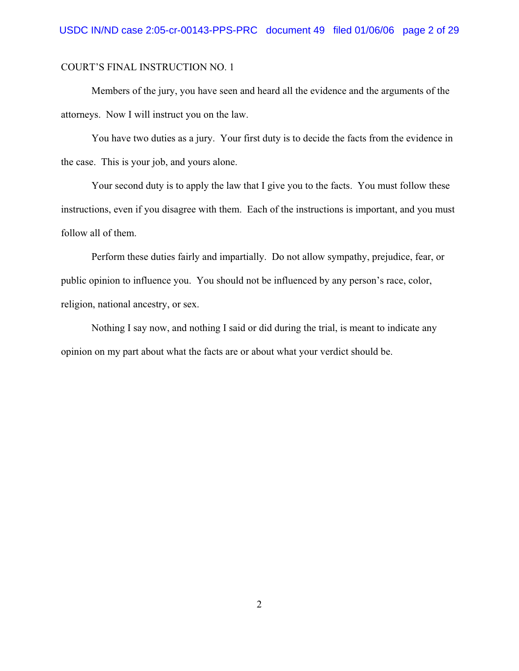Members of the jury, you have seen and heard all the evidence and the arguments of the attorneys. Now I will instruct you on the law.

You have two duties as a jury. Your first duty is to decide the facts from the evidence in the case. This is your job, and yours alone.

Your second duty is to apply the law that I give you to the facts. You must follow these instructions, even if you disagree with them. Each of the instructions is important, and you must follow all of them.

Perform these duties fairly and impartially. Do not allow sympathy, prejudice, fear, or public opinion to influence you. You should not be influenced by any person's race, color, religion, national ancestry, or sex.

Nothing I say now, and nothing I said or did during the trial, is meant to indicate any opinion on my part about what the facts are or about what your verdict should be.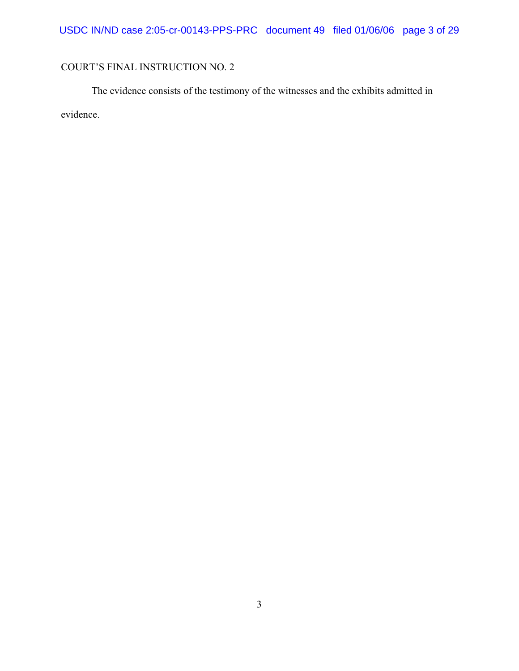The evidence consists of the testimony of the witnesses and the exhibits admitted in evidence.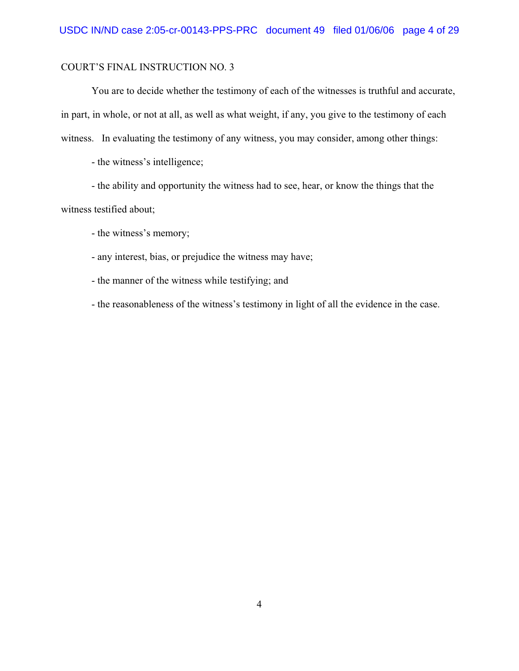You are to decide whether the testimony of each of the witnesses is truthful and accurate, in part, in whole, or not at all, as well as what weight, if any, you give to the testimony of each witness. In evaluating the testimony of any witness, you may consider, among other things:

- the witness's intelligence;

- the ability and opportunity the witness had to see, hear, or know the things that the witness testified about;

- the witness's memory;

- any interest, bias, or prejudice the witness may have;

- the manner of the witness while testifying; and

- the reasonableness of the witness's testimony in light of all the evidence in the case.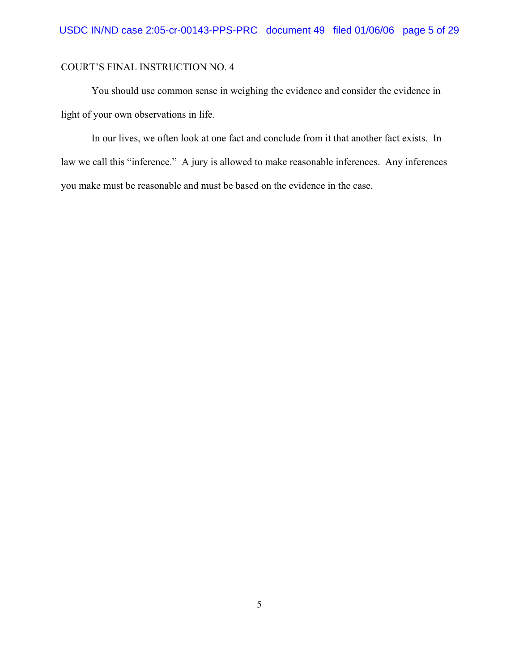You should use common sense in weighing the evidence and consider the evidence in light of your own observations in life.

In our lives, we often look at one fact and conclude from it that another fact exists. In law we call this "inference." A jury is allowed to make reasonable inferences. Any inferences you make must be reasonable and must be based on the evidence in the case.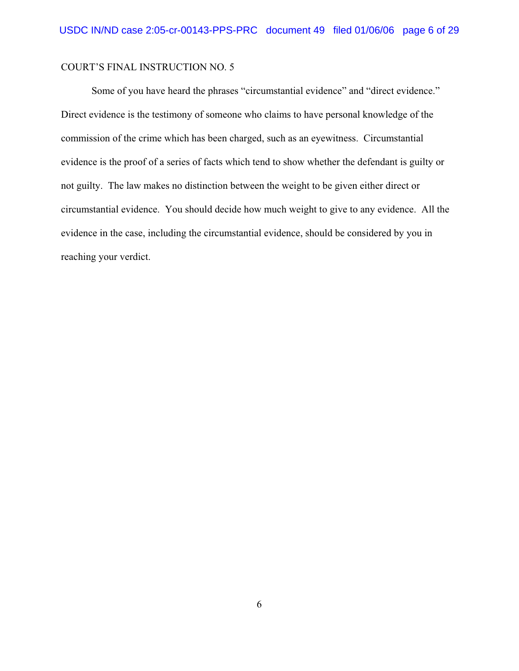Some of you have heard the phrases "circumstantial evidence" and "direct evidence." Direct evidence is the testimony of someone who claims to have personal knowledge of the commission of the crime which has been charged, such as an eyewitness. Circumstantial evidence is the proof of a series of facts which tend to show whether the defendant is guilty or not guilty. The law makes no distinction between the weight to be given either direct or circumstantial evidence. You should decide how much weight to give to any evidence. All the evidence in the case, including the circumstantial evidence, should be considered by you in reaching your verdict.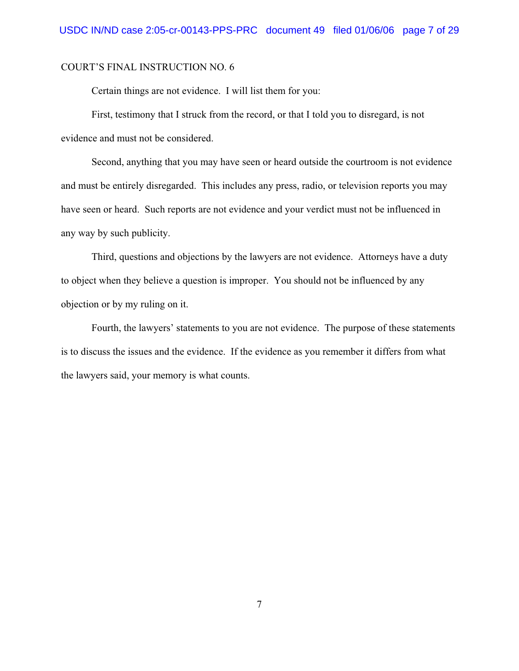Certain things are not evidence. I will list them for you:

First, testimony that I struck from the record, or that I told you to disregard, is not evidence and must not be considered.

Second, anything that you may have seen or heard outside the courtroom is not evidence and must be entirely disregarded. This includes any press, radio, or television reports you may have seen or heard. Such reports are not evidence and your verdict must not be influenced in any way by such publicity.

Third, questions and objections by the lawyers are not evidence. Attorneys have a duty to object when they believe a question is improper. You should not be influenced by any objection or by my ruling on it.

Fourth, the lawyers' statements to you are not evidence. The purpose of these statements is to discuss the issues and the evidence. If the evidence as you remember it differs from what the lawyers said, your memory is what counts.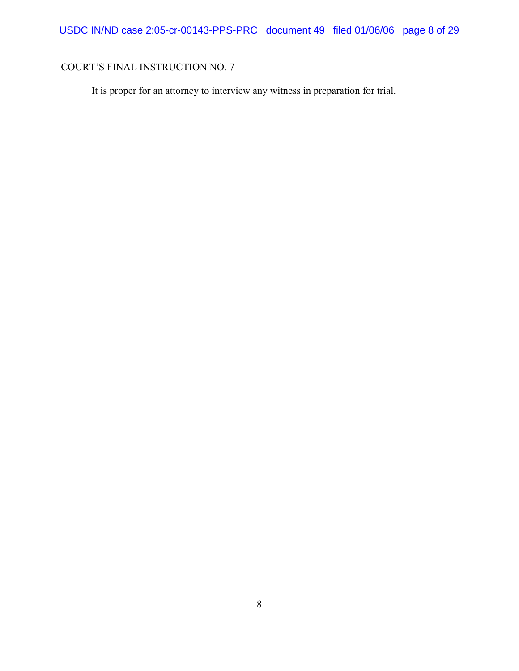It is proper for an attorney to interview any witness in preparation for trial.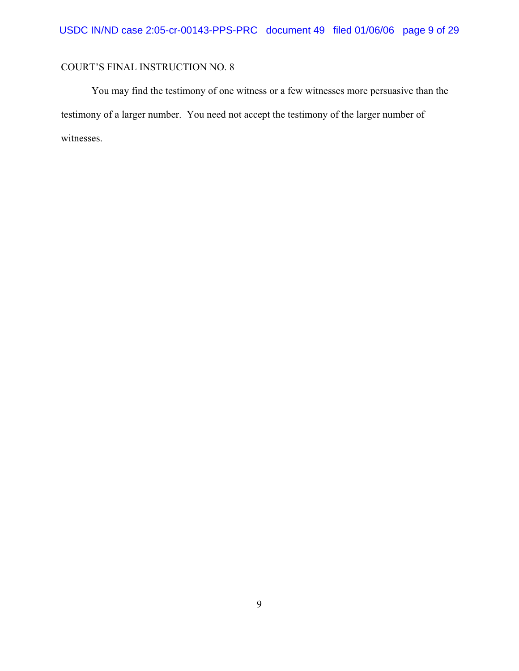You may find the testimony of one witness or a few witnesses more persuasive than the testimony of a larger number. You need not accept the testimony of the larger number of witnesses.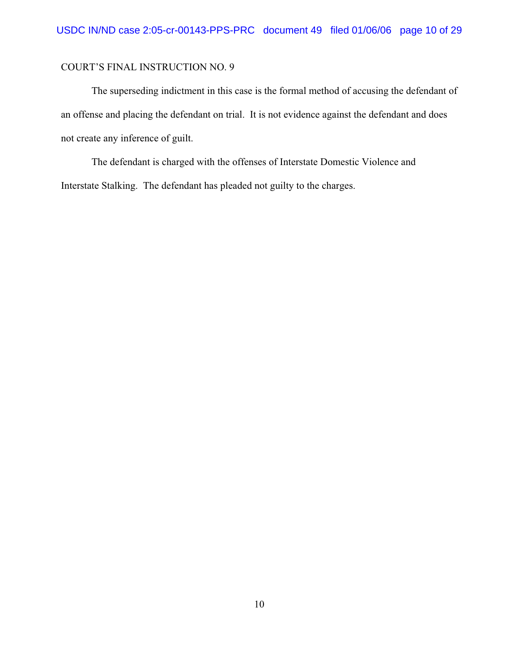The superseding indictment in this case is the formal method of accusing the defendant of an offense and placing the defendant on trial. It is not evidence against the defendant and does not create any inference of guilt.

The defendant is charged with the offenses of Interstate Domestic Violence and Interstate Stalking. The defendant has pleaded not guilty to the charges.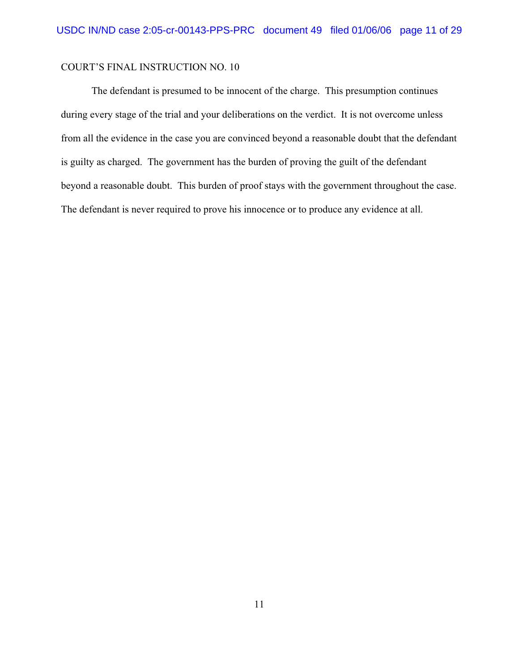The defendant is presumed to be innocent of the charge. This presumption continues during every stage of the trial and your deliberations on the verdict. It is not overcome unless from all the evidence in the case you are convinced beyond a reasonable doubt that the defendant is guilty as charged. The government has the burden of proving the guilt of the defendant beyond a reasonable doubt. This burden of proof stays with the government throughout the case. The defendant is never required to prove his innocence or to produce any evidence at all.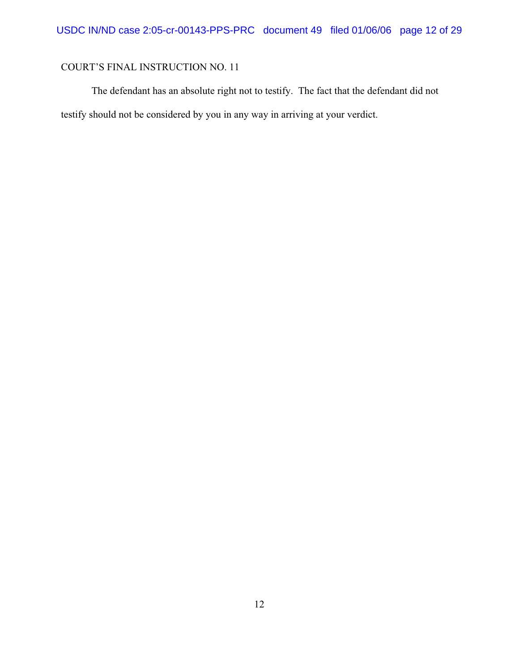The defendant has an absolute right not to testify. The fact that the defendant did not testify should not be considered by you in any way in arriving at your verdict.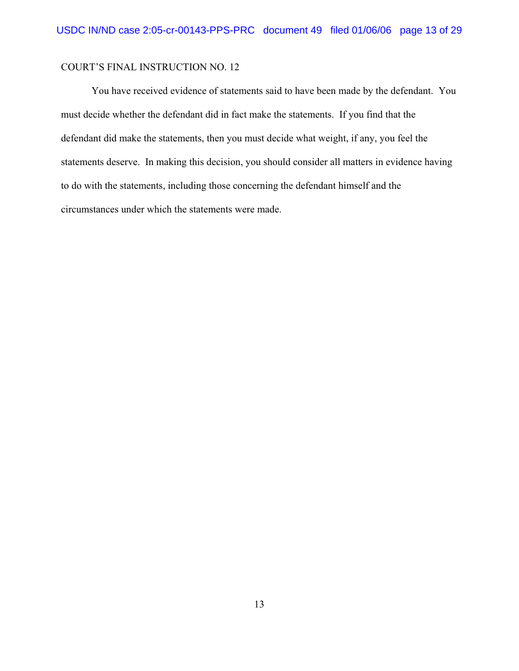You have received evidence of statements said to have been made by the defendant. You must decide whether the defendant did in fact make the statements. If you find that the defendant did make the statements, then you must decide what weight, if any, you feel the statements deserve. In making this decision, you should consider all matters in evidence having to do with the statements, including those concerning the defendant himself and the circumstances under which the statements were made.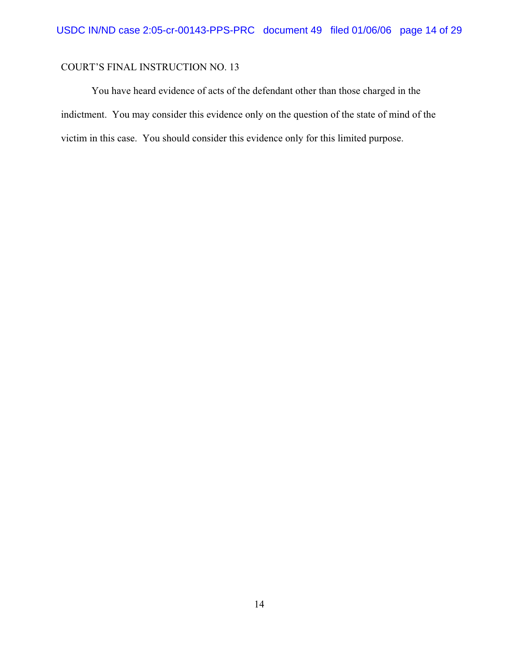You have heard evidence of acts of the defendant other than those charged in the indictment. You may consider this evidence only on the question of the state of mind of the victim in this case. You should consider this evidence only for this limited purpose.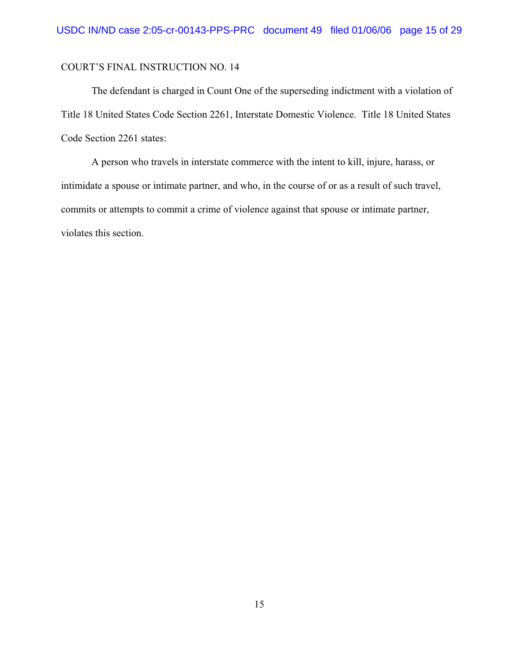The defendant is charged in Count One of the superseding indictment with a violation of Title 18 United States Code Section 2261, Interstate Domestic Violence. Title 18 United States Code Section 2261 states:

A person who travels in interstate commerce with the intent to kill, injure, harass, or intimidate a spouse or intimate partner, and who, in the course of or as a result of such travel, commits or attempts to commit a crime of violence against that spouse or intimate partner, violates this section.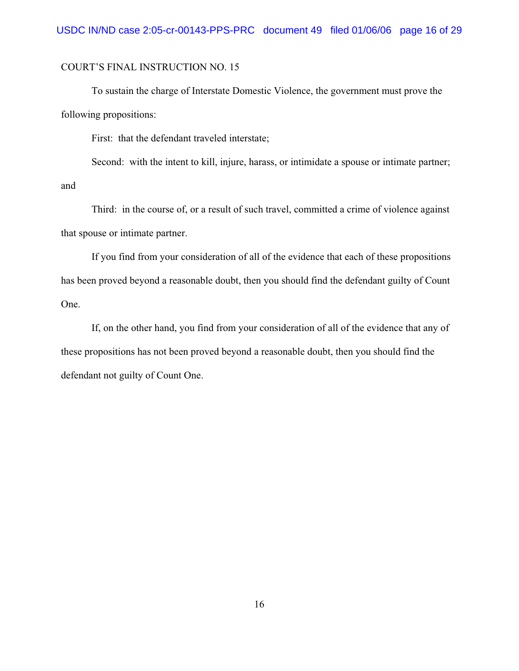To sustain the charge of Interstate Domestic Violence, the government must prove the following propositions:

First: that the defendant traveled interstate;

Second: with the intent to kill, injure, harass, or intimidate a spouse or intimate partner; and

Third: in the course of, or a result of such travel, committed a crime of violence against that spouse or intimate partner.

If you find from your consideration of all of the evidence that each of these propositions has been proved beyond a reasonable doubt, then you should find the defendant guilty of Count One.

If, on the other hand, you find from your consideration of all of the evidence that any of these propositions has not been proved beyond a reasonable doubt, then you should find the defendant not guilty of Count One.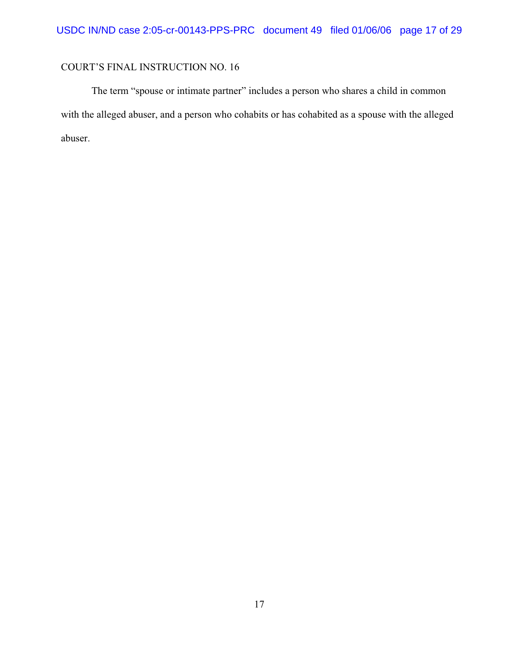The term "spouse or intimate partner" includes a person who shares a child in common with the alleged abuser, and a person who cohabits or has cohabited as a spouse with the alleged abuser.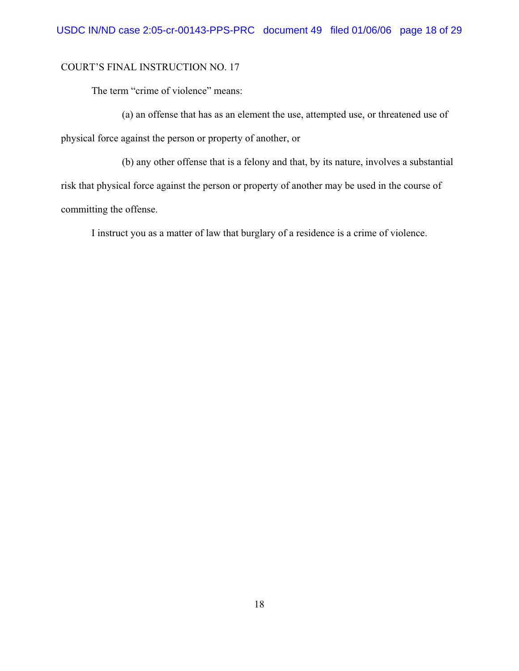The term "crime of violence" means:

(a) an offense that has as an element the use, attempted use, or threatened use of physical force against the person or property of another, or

(b) any other offense that is a felony and that, by its nature, involves a substantial risk that physical force against the person or property of another may be used in the course of committing the offense.

I instruct you as a matter of law that burglary of a residence is a crime of violence.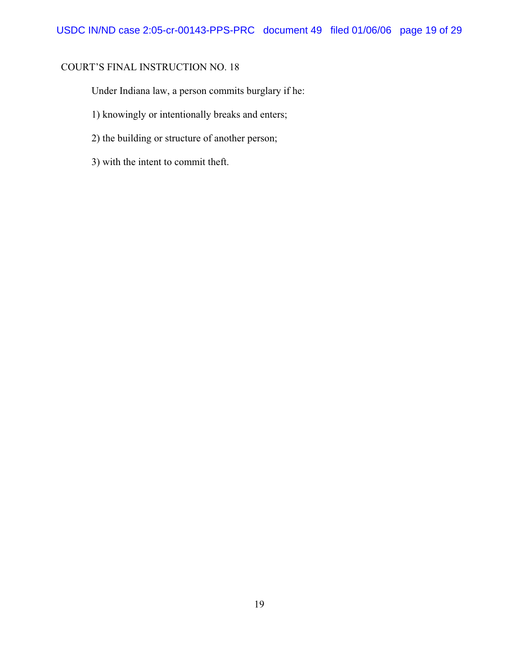Under Indiana law, a person commits burglary if he:

- 1) knowingly or intentionally breaks and enters;
- 2) the building or structure of another person;
- 3) with the intent to commit theft.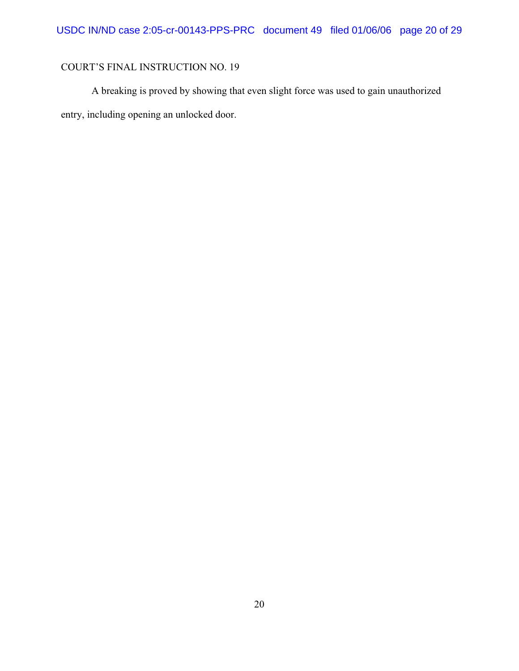A breaking is proved by showing that even slight force was used to gain unauthorized entry, including opening an unlocked door.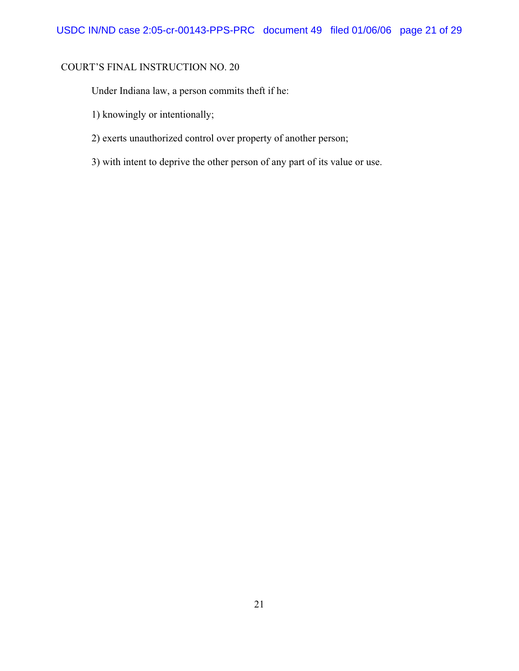Under Indiana law, a person commits theft if he:

- 1) knowingly or intentionally;
- 2) exerts unauthorized control over property of another person;
- 3) with intent to deprive the other person of any part of its value or use.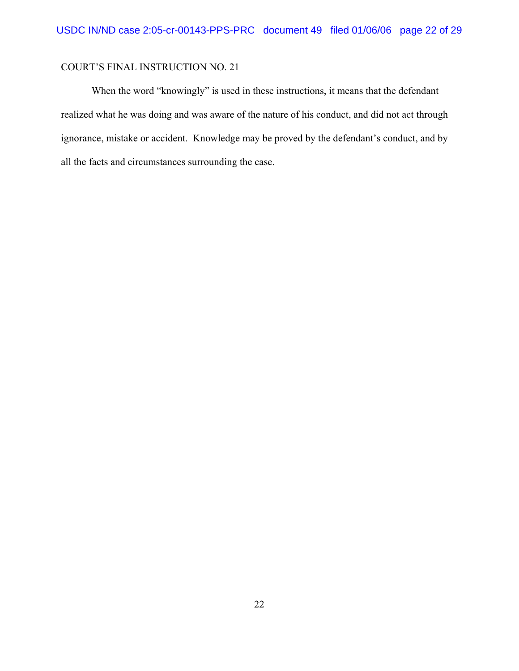When the word "knowingly" is used in these instructions, it means that the defendant realized what he was doing and was aware of the nature of his conduct, and did not act through ignorance, mistake or accident. Knowledge may be proved by the defendant's conduct, and by all the facts and circumstances surrounding the case.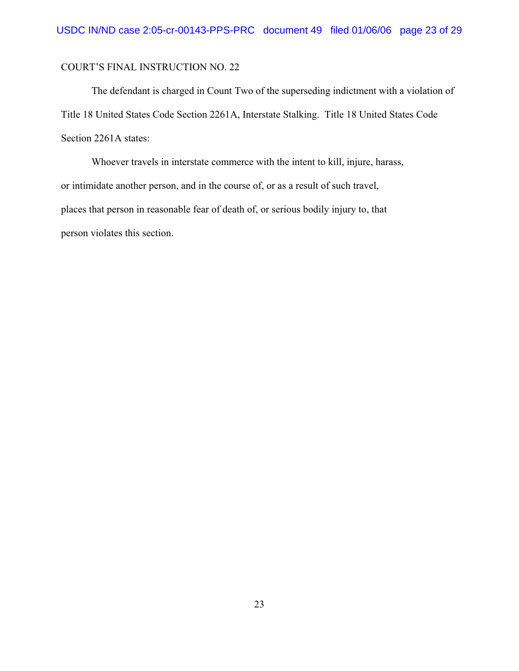The defendant is charged in Count Two of the superseding indictment with a violation of Title 18 United States Code Section 2261A, Interstate Stalking. Title 18 United States Code Section 2261A states:

Whoever travels in interstate commerce with the intent to kill, injure, harass, or intimidate another person, and in the course of, or as a result of such travel, places that person in reasonable fear of death of, or serious bodily injury to, that person violates this section.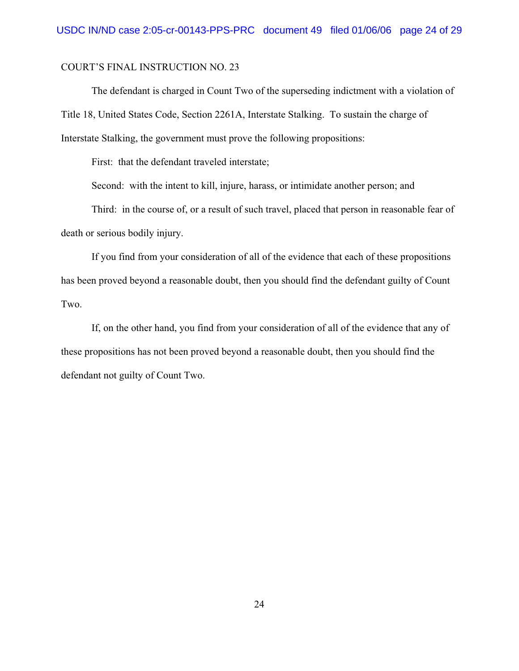The defendant is charged in Count Two of the superseding indictment with a violation of Title 18, United States Code, Section 2261A, Interstate Stalking. To sustain the charge of Interstate Stalking, the government must prove the following propositions:

First: that the defendant traveled interstate;

Second: with the intent to kill, injure, harass, or intimidate another person; and

Third: in the course of, or a result of such travel, placed that person in reasonable fear of death or serious bodily injury.

If you find from your consideration of all of the evidence that each of these propositions has been proved beyond a reasonable doubt, then you should find the defendant guilty of Count Two.

If, on the other hand, you find from your consideration of all of the evidence that any of these propositions has not been proved beyond a reasonable doubt, then you should find the defendant not guilty of Count Two.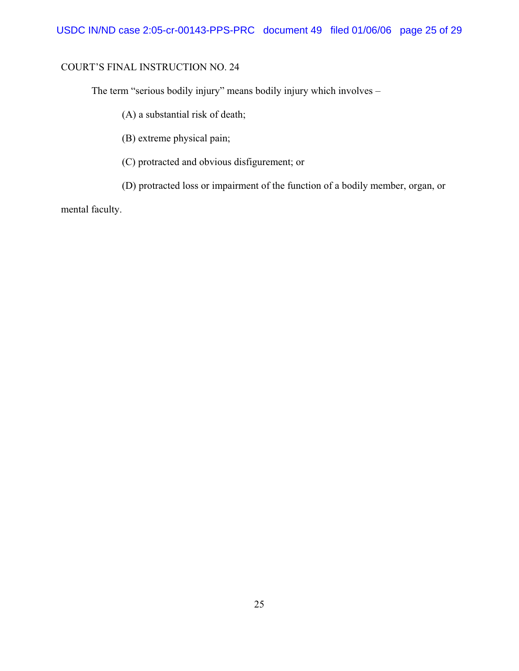The term "serious bodily injury" means bodily injury which involves –

(A) a substantial risk of death;

(B) extreme physical pain;

(C) protracted and obvious disfigurement; or

(D) protracted loss or impairment of the function of a bodily member, organ, or

mental faculty.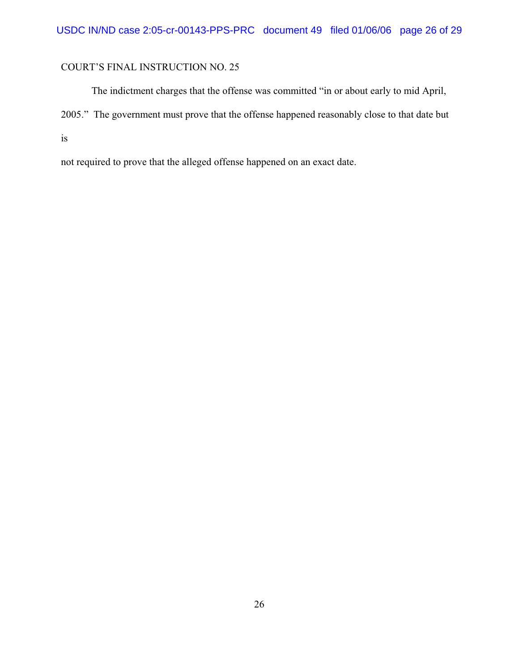The indictment charges that the offense was committed "in or about early to mid April, 2005." The government must prove that the offense happened reasonably close to that date but is

not required to prove that the alleged offense happened on an exact date.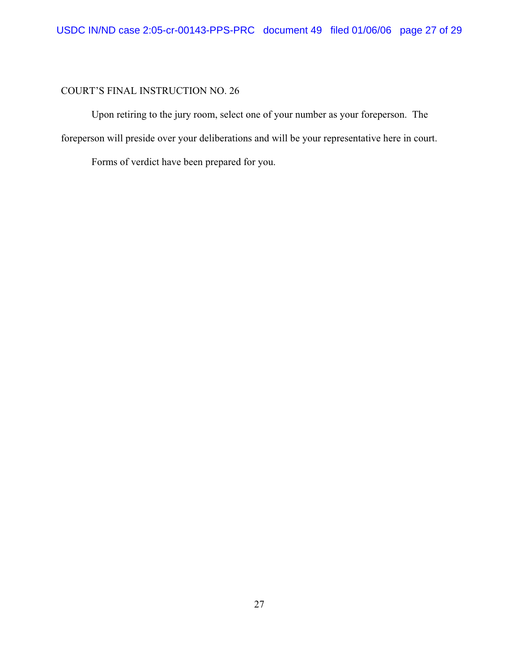Upon retiring to the jury room, select one of your number as your foreperson. The foreperson will preside over your deliberations and will be your representative here in court.

Forms of verdict have been prepared for you.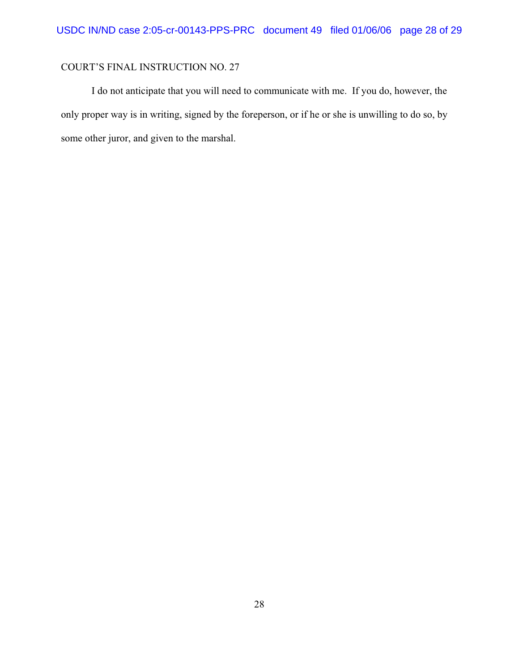I do not anticipate that you will need to communicate with me. If you do, however, the only proper way is in writing, signed by the foreperson, or if he or she is unwilling to do so, by some other juror, and given to the marshal.